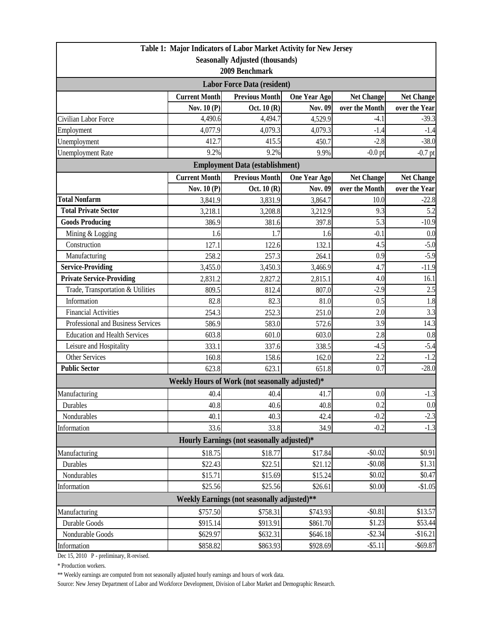|                                                                          |                                        | Table 1: Major Indicators of Labor Market Activity for New Jersey |                     |                   |                   |  |  |  |  |
|--------------------------------------------------------------------------|----------------------------------------|-------------------------------------------------------------------|---------------------|-------------------|-------------------|--|--|--|--|
|                                                                          |                                        | <b>Seasonally Adjusted (thousands)</b>                            |                     |                   |                   |  |  |  |  |
| 2009 Benchmark                                                           |                                        |                                                                   |                     |                   |                   |  |  |  |  |
| <b>Labor Force Data (resident)</b>                                       |                                        |                                                                   |                     |                   |                   |  |  |  |  |
|                                                                          | <b>Current Month</b>                   | <b>Previous Month</b>                                             | <b>One Year Ago</b> | <b>Net Change</b> | <b>Net Change</b> |  |  |  |  |
|                                                                          | Nov. 10 (P)                            | Oct. $10(R)$                                                      | <b>Nov. 09</b>      | over the Month    | over the Year     |  |  |  |  |
| Civilian Labor Force                                                     | 4,490.6                                | 4,494.7                                                           | 4,529.9             | $-4.1$            | $-39.3$           |  |  |  |  |
| Employment                                                               | 4,077.9                                | 4,079.3                                                           | 4,079.3             | $-1.4$            | $-1.4$            |  |  |  |  |
| Unemployment                                                             | 412.7                                  | 415.5                                                             | 450.7               | $-2.8$            | $-38.0$           |  |  |  |  |
| <b>Unemployment Rate</b>                                                 | 9.2%                                   | 9.2%                                                              | 9.9%                | $-0.0$ pt         | $-0.7$ pt         |  |  |  |  |
|                                                                          | <b>Employment Data (establishment)</b> |                                                                   |                     |                   |                   |  |  |  |  |
|                                                                          | <b>Current Month</b>                   | <b>Previous Month</b>                                             | <b>One Year Ago</b> | <b>Net Change</b> | <b>Net Change</b> |  |  |  |  |
|                                                                          | Nov. 10 (P)                            | Oct. $10(R)$                                                      | Nov. 09             | over the Month    | over the Year     |  |  |  |  |
| <b>Total Nonfarm</b>                                                     | 3,841.9                                | 3,831.9                                                           | 3,864.7             | 10.0              | $-22.8$           |  |  |  |  |
| <b>Total Private Sector</b>                                              | 3,218.1                                | 3,208.8                                                           | 3,212.9             | 9.3               | 5.2               |  |  |  |  |
| <b>Goods Producing</b>                                                   | 386.9                                  | 381.6                                                             | 397.8               | 5.3               | $-10.9$           |  |  |  |  |
| Mining & Logging                                                         | 1.6                                    | 1.7                                                               | 1.6                 | $-0.1$            | 0.0               |  |  |  |  |
| Construction                                                             | 127.1                                  | 122.6                                                             | 132.1               | 4.5               | $-5.0$            |  |  |  |  |
| Manufacturing                                                            | 258.2                                  | 257.3                                                             | 264.1               | 0.9               | $-5.9$            |  |  |  |  |
| <b>Service-Providing</b>                                                 | 3,455.0                                | 3,450.3                                                           | 3,466.9             | 4.7               | $-11.9$           |  |  |  |  |
| <b>Private Service-Providing</b>                                         | 2,831.2                                | 2,827.2                                                           | 2,815.1             | 4.0               | 16.1              |  |  |  |  |
| Trade, Transportation & Utilities                                        | 809.5                                  | 812.4                                                             | 807.0               | $-2.9$            | 2.5               |  |  |  |  |
| Information                                                              | 82.8                                   | 82.3                                                              | 81.0                | 0.5               | 1.8               |  |  |  |  |
| <b>Financial Activities</b>                                              | 254.3                                  | 252.3                                                             | 251.0               | 2.0               | 3.3               |  |  |  |  |
| Professional and Business Services                                       | 586.9                                  | 583.0                                                             | 572.6               | 3.9               | 14.3              |  |  |  |  |
| Education and Health Services                                            | 603.8                                  | 601.0                                                             | 603.0               | 2.8               | 0.8               |  |  |  |  |
| Leisure and Hospitality                                                  | 333.1                                  | 337.6                                                             | 338.5               | $-4.5$            | $-5.4$            |  |  |  |  |
| <b>Other Services</b>                                                    | 160.8                                  | 158.6                                                             | 162.0               | 2.2               | $-1.2$            |  |  |  |  |
| <b>Public Sector</b>                                                     | 623.8                                  | 623.1                                                             | 651.8               | 0.7               | $-28.0$           |  |  |  |  |
|                                                                          |                                        | Weekly Hours of Work (not seasonally adjusted)*                   |                     |                   |                   |  |  |  |  |
| Manufacturing                                                            | 40.4                                   | 40.4                                                              | 41.7                | 0.0               | $-1.3$            |  |  |  |  |
| Durables                                                                 | 40.8                                   | 40.6                                                              | 40.8                | 0.2               | 0.0               |  |  |  |  |
| Nondurables                                                              | 40.1                                   | 40.3                                                              | 42.4                | $-0.2$            | $-2.3$            |  |  |  |  |
| Information                                                              | 33.6                                   | 33.8                                                              | 34.9                | $-0.2$            | $-1.3$            |  |  |  |  |
| Hourly Earnings (not seasonally adjusted)*                               |                                        |                                                                   |                     |                   |                   |  |  |  |  |
| Manufacturing                                                            | \$18.75                                | \$18.77                                                           | \$17.84             | $-$0.02$          | \$0.91            |  |  |  |  |
| Durables                                                                 | \$22.43                                | \$22.51                                                           | \$21.12             | $-$0.08$          | \$1.31            |  |  |  |  |
| Nondurables                                                              | \$15.71                                | \$15.69                                                           | \$15.24             | \$0.02            | \$0.47            |  |  |  |  |
| Information                                                              | \$25.56                                | \$25.56                                                           | \$26.61             | \$0.00            | $-$1.05$          |  |  |  |  |
| <b>Weekly Earnings (not seasonally adjusted)**</b>                       |                                        |                                                                   |                     |                   |                   |  |  |  |  |
| $-$0.81$<br>\$13.57<br>\$757.50<br>Manufacturing<br>\$758.31<br>\$743.93 |                                        |                                                                   |                     |                   |                   |  |  |  |  |
| Durable Goods                                                            | \$915.14                               | \$913.91                                                          | \$861.70            | \$1.23            | \$53.44           |  |  |  |  |
| Nondurable Goods                                                         | \$629.97                               | \$632.31                                                          | \$646.18            | $-$2.34$          | $-$16.21$         |  |  |  |  |
| Information                                                              | \$858.82                               | \$863.93                                                          | \$928.69            | $-$ \$5.11        | $-$ \$69.87       |  |  |  |  |

Dec 15, 2010 P - preliminary, R-revised.

\* Production workers.

\*\* Weekly earnings are computed from not seasonally adjusted hourly earnings and hours of work data.

Source: New Jersey Department of Labor and Workforce Development, Division of Labor Market and Demographic Research.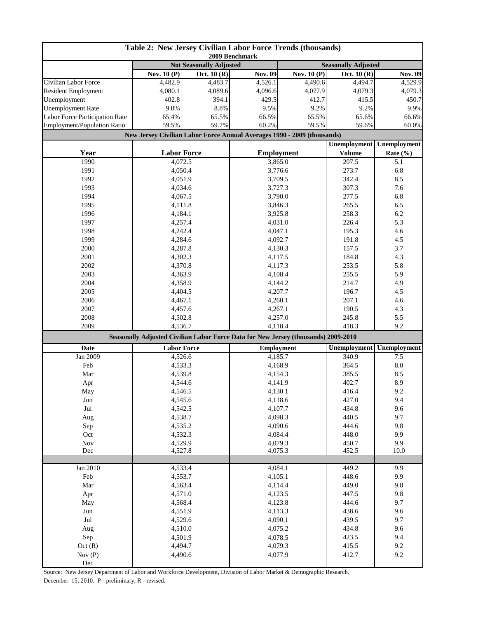| Table 2: New Jersey Civilian Labor Force Trends (thousands)<br>2009 Benchmark |                                                                                    |             |                   |                            |                     |                     |
|-------------------------------------------------------------------------------|------------------------------------------------------------------------------------|-------------|-------------------|----------------------------|---------------------|---------------------|
|                                                                               | <b>Not Seasonally Adjusted</b>                                                     |             |                   | <b>Seasonally Adjusted</b> |                     |                     |
|                                                                               | Nov. $10(P)$                                                                       | Oct. 10 (R) | <b>Nov. 09</b>    | Nov. $10(P)$               | Oct. 10 (R)         | Nov. 09             |
| Civilian Labor Force                                                          | 4,482.9                                                                            | 4,483.7     | 4,526.1           | 4,490.6                    | 4,494.7             | 4,529.9             |
| <b>Resident Employment</b>                                                    | 4,080.1                                                                            | 4,089.6     | 4,096.6           | 4,077.9                    | 4,079.3             | 4,079.3             |
| Unemployment                                                                  | 402.8                                                                              | 394.1       | 429.5             | 412.7                      | 415.5               | 450.7               |
| <b>Unemployment Rate</b>                                                      | 9.0%                                                                               | 8.8%        | 9.5%              | 9.2%                       | 9.2%                | 9.9%                |
| Labor Force Participation Rate                                                | 65.4%                                                                              | 65.5%       | 66.5%             | 65.5%                      | 65.6%               | 66.6%               |
| Employment/Population Ratio                                                   | 59.5%                                                                              | 59.7%       | 60.2%             | 59.5%                      | 59.6%               | 60.0%               |
|                                                                               | New Jersey Civilian Labor Force Annual Averages 1990 - 2009 (thousands)            |             |                   |                            | <b>Unemployment</b> |                     |
|                                                                               |                                                                                    |             |                   | <b>Employment</b>          |                     | <b>Unemployment</b> |
| Year                                                                          | <b>Labor Force</b>                                                                 |             |                   |                            | <b>Volume</b>       | Rate $(\% )$        |
| 1990                                                                          | 4,072.5                                                                            |             | 3,865.0           |                            | 207.5               | 5.1                 |
| 1991                                                                          | 4,050.4                                                                            |             | 3,776.6           |                            | 273.7               | 6.8                 |
| 1992                                                                          | 4,051.9                                                                            |             | 3,709.5           |                            | 342.4               | 8.5                 |
| 1993                                                                          | 4,034.6                                                                            |             | 3,727.3           |                            | 307.3               | 7.6                 |
| 1994                                                                          | 4,067.5                                                                            |             | 3,790.0           |                            | 277.5               | 6.8                 |
| 1995                                                                          | 4,111.8                                                                            |             | 3,846.3           |                            | 265.5               | 6.5                 |
| 1996                                                                          | 4,184.1                                                                            |             | 3,925.8           |                            | 258.3               | 6.2                 |
| 1997                                                                          | 4,257.4                                                                            |             | 4,031.0           |                            | 226.4               | 5.3                 |
| 1998                                                                          | 4,242.4                                                                            |             | 4,047.1           |                            | 195.3               | 4.6                 |
| 1999                                                                          | 4,284.6                                                                            |             | 4,092.7           |                            | 191.8               | 4.5                 |
| 2000                                                                          | 4,287.8                                                                            |             | 4,130.3           |                            | 157.5               | 3.7                 |
| 2001                                                                          | 4,302.3                                                                            |             | 4,117.5           |                            | 184.8<br>253.5      | 4.3                 |
| 2002                                                                          | 4,370.8                                                                            |             |                   | 4,117.3                    |                     | 5.8                 |
| 2003                                                                          | 4,363.9                                                                            |             | 4,108.4           |                            | 255.5               | 5.9                 |
| 2004                                                                          | 4,358.9                                                                            |             | 4,144.2           |                            | 214.7               | 4.9                 |
| 2005                                                                          | 4,404.5                                                                            |             | 4,207.7           |                            | 196.7               | 4.5                 |
| 2006                                                                          | 4,467.1                                                                            |             | 4,260.1           |                            | 207.1               | 4.6                 |
| 2007                                                                          | 4,457.6                                                                            |             | 4,267.1           |                            | 190.5               | 4.3                 |
| 2008                                                                          | 4,502.8                                                                            |             | 4,257.0           |                            | 245.8               | 5.5                 |
| 2009                                                                          | 4,536.7                                                                            |             | 4,118.4           |                            | 418.3               | 9.2                 |
|                                                                               | Seasonally Adjusted Civilian Labor Force Data for New Jersey (thousands) 2009-2010 |             |                   |                            |                     |                     |
| Date                                                                          | <b>Labor Force</b>                                                                 |             | <b>Employment</b> |                            | <b>Unemployment</b> | Unemployment        |
| Jan 2009                                                                      | 4,526.6                                                                            |             | 4,185.7           |                            | 340.9               | 7.5                 |
| Feb                                                                           | 4,533.3                                                                            |             | 4,168.9           |                            | 364.5               | 8.0                 |
| Mar                                                                           | 4,539.8                                                                            |             | 4,154.3           |                            | 385.5               | 8.5                 |
| Apr                                                                           | 4.544.6                                                                            |             | 4,141.9           |                            | 402.7               | 8.9                 |
| May                                                                           | 4,546.5                                                                            |             | 4,130.1           |                            | 416.4               | 9.2                 |
| Jun                                                                           | 4,545.6                                                                            |             | 4,118.6           |                            | 427.0               | 9.4                 |
| $\mathrm{Jul}$                                                                | 4,542.5                                                                            |             | 4,107.7           |                            | 434.8               | 9.6                 |
| Aug                                                                           | 4,538.7                                                                            |             | 4,098.3           |                            | 440.5               | 9.7                 |
| Sep                                                                           | 4,535.2                                                                            |             | 4,090.6           |                            | 444.6               | 9.8                 |
| Oct                                                                           | 4,532.3                                                                            |             | 4,084.4           |                            | 448.0               | 9.9                 |
| $\operatorname{Nov}$                                                          | 4,529.9                                                                            |             | 4,079.3           |                            | 450.7               | 9.9                 |
| Dec                                                                           | 4,527.8                                                                            |             | 4,075.3           |                            | 452.5               | 10.0                |
|                                                                               |                                                                                    |             |                   |                            |                     |                     |
| Jan 2010                                                                      | 4,533.4                                                                            |             | 4,084.1           |                            | 449.2               | 9.9                 |
| Feb                                                                           | 4,553.7                                                                            |             | 4,105.1           |                            | 448.6               | 9.9                 |
| Mar                                                                           | 4,563.4                                                                            |             | 4,114.4           |                            | 449.0               | 9.8                 |
| Apr                                                                           | 4,571.0                                                                            |             | 4,123.5           |                            | 447.5               | 9.8                 |
| May                                                                           | 4,568.4                                                                            |             | 4,123.8           |                            | 444.6               | 9.7                 |
| Jun                                                                           | 4,551.9                                                                            |             | 4,113.3           |                            | 438.6               | 9.6                 |
| Jul                                                                           | 4,529.6                                                                            |             | 4,090.1           |                            | 439.5               | 9.7                 |
| Aug                                                                           | 4,510.0                                                                            |             | 4,075.2           |                            | 434.8               | 9.6                 |
| Sep                                                                           | 4,501.9                                                                            |             | 4,078.5           |                            | 423.5               | 9.4                 |
| Oct(R)                                                                        | 4,494.7                                                                            |             | 4,079.3           |                            | 415.5               | 9.2                 |
| Nov $(P)$                                                                     | 4,490.6                                                                            |             | 4,077.9           |                            | 412.7               | 9.2                 |
| Dec                                                                           |                                                                                    |             |                   |                            |                     |                     |

Source: New Jersey Department of Labor and Workforce Development, Division of Labor Market & Demographic Research. December 15, 2010. P - preliminary, R - revised.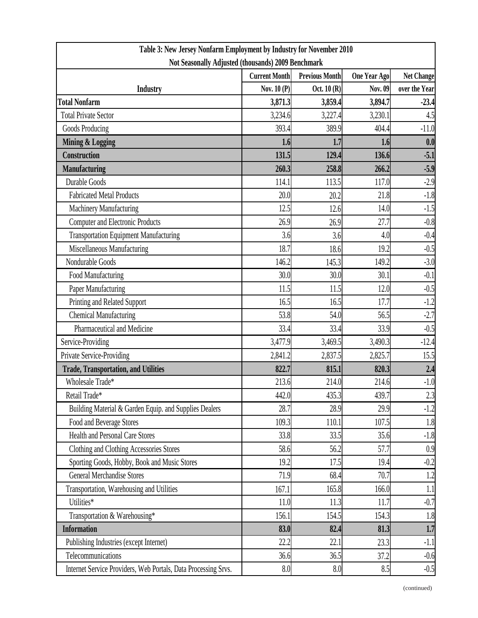| Table 3: New Jersey Nonfarm Employment by Industry for November 2010 |                      |                       |                     |                   |  |  |  |
|----------------------------------------------------------------------|----------------------|-----------------------|---------------------|-------------------|--|--|--|
| Not Seasonally Adjusted (thousands) 2009 Benchmark                   |                      |                       |                     |                   |  |  |  |
|                                                                      | <b>Current Month</b> | <b>Previous Month</b> | <b>One Year Ago</b> | <b>Net Change</b> |  |  |  |
| <b>Industry</b>                                                      | Nov. $10(P)$         | Oct. $10(R)$          | Nov. 09             | over the Year     |  |  |  |
| <b>Total Nonfarm</b>                                                 | 3,871.3              | 3,859.4               | 3,894.7             | $-23.4$           |  |  |  |
| <b>Total Private Sector</b>                                          | 3,234.6              | 3,227.4               | 3,230.1             | 4.5               |  |  |  |
| Goods Producing                                                      | 393.4                | 389.9                 | 404.4               | $-11.0$           |  |  |  |
| <b>Mining &amp; Logging</b>                                          | 1.6                  | 1.7                   | 1.6                 | 0.0               |  |  |  |
| <b>Construction</b>                                                  | 131.5                | 129.4                 | 136.6               | $-5.1$            |  |  |  |
| <b>Manufacturing</b>                                                 | 260.3                | 258.8                 | 266.2               | $-5.9$            |  |  |  |
| Durable Goods                                                        | 114.1                | 113.5                 | 117.0               | $-2.9$            |  |  |  |
| <b>Fabricated Metal Products</b>                                     | 20.0                 | 20.2                  | 21.8                | $-1.8$            |  |  |  |
| Machinery Manufacturing                                              | 12.5                 | 12.6                  | 14.0                | $-1.5$            |  |  |  |
| <b>Computer and Electronic Products</b>                              | 26.9                 | 26.9                  | 27.7                | $-0.8$            |  |  |  |
| <b>Transportation Equipment Manufacturing</b>                        | 3.6                  | 3.6                   | 4.0                 | $-0.4$            |  |  |  |
| Miscellaneous Manufacturing                                          | 18.7                 | 18.6                  | 19.2                | $-0.5$            |  |  |  |
| Nondurable Goods                                                     | 146.2                | 145.3                 | 149.2               | $-3.0$            |  |  |  |
| Food Manufacturing                                                   | 30.0                 | 30.0                  | 30.1                | $-0.1$            |  |  |  |
| Paper Manufacturing                                                  | 11.5                 | 11.5                  | 12.0                | $-0.5$            |  |  |  |
| Printing and Related Support                                         | 16.5                 | 16.5                  | 17.7                | $-1.2$            |  |  |  |
| <b>Chemical Manufacturing</b>                                        | 53.8                 | 54.0                  | 56.5                | $-2.7$            |  |  |  |
| Pharmaceutical and Medicine                                          | 33.4                 | 33.4                  | 33.9                | $-0.5$            |  |  |  |
| Service-Providing                                                    | 3,477.9              | 3,469.5               | 3,490.3             | $-12.4$           |  |  |  |
| Private Service-Providing                                            | 2,841.2              | 2,837.5               | 2,825.7             | 15.5              |  |  |  |
| <b>Trade, Transportation, and Utilities</b>                          | 822.7                | 815.1                 | 820.3               | 2.4               |  |  |  |
| Wholesale Trade*                                                     | 213.6                | 214.0                 | 214.6               | $-1.0$            |  |  |  |
| Retail Trade*                                                        | 442.0                | 435.3                 | 439.7               | 2.3               |  |  |  |
| Building Material & Garden Equip. and Supplies Dealers               | 28.7                 | 28.9                  | 29.9                | $-1.2$            |  |  |  |
| Food and Beverage Stores                                             | 109.3                | 110.1                 | 107.5               | 1.8               |  |  |  |
| <b>Health and Personal Care Stores</b>                               | 33.8                 | 33.5                  | 35.6                | $-1.8$            |  |  |  |
| Clothing and Clothing Accessories Stores                             | 58.6                 | 56.2                  | 57.7                | 0.9               |  |  |  |
| Sporting Goods, Hobby, Book and Music Stores                         | 19.2                 | 17.5                  | 19.4                | $-0.2$            |  |  |  |
| <b>General Merchandise Stores</b>                                    | 71.9                 | 68.4                  | 70.7                | 1.2               |  |  |  |
| Transportation, Warehousing and Utilities                            | 167.1                | 165.8                 | 166.0               | 1.1               |  |  |  |
| Utilities*                                                           | 11.0                 | 11.3                  | 11.7                | $-0.7$            |  |  |  |
| Transportation & Warehousing*                                        | 156.1                | 154.5                 | 154.3               | 1.8               |  |  |  |
| <b>Information</b>                                                   | 83.0                 | 82.4                  | 81.3                | 1.7               |  |  |  |
| Publishing Industries (except Internet)                              | 22.2                 | 22.1                  | 23.3                | $-1.1$            |  |  |  |
| Telecommunications                                                   | 36.6                 | 36.5                  | 37.2                | $-0.6$            |  |  |  |
| Internet Service Providers, Web Portals, Data Processing Srvs.       | 8.0                  | 8.0                   | 8.5                 | $-0.5$            |  |  |  |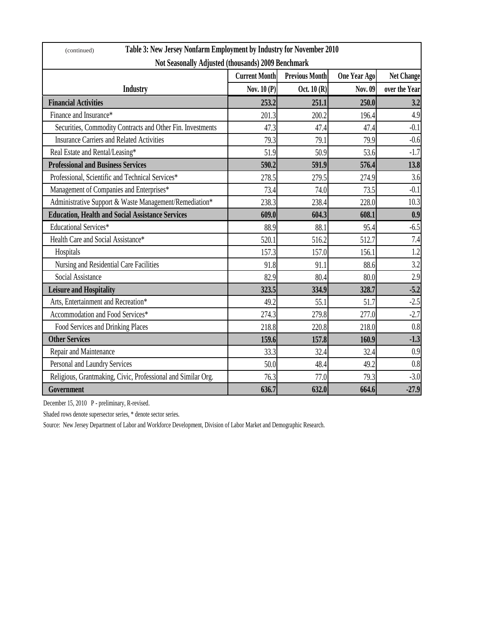| Table 3: New Jersey Nonfarm Employment by Industry for November 2010<br>(continued) |                      |                       |                     |                   |  |  |
|-------------------------------------------------------------------------------------|----------------------|-----------------------|---------------------|-------------------|--|--|
| Not Seasonally Adjusted (thousands) 2009 Benchmark                                  |                      |                       |                     |                   |  |  |
|                                                                                     | <b>Current Month</b> | <b>Previous Month</b> | <b>One Year Ago</b> | <b>Net Change</b> |  |  |
| <b>Industry</b>                                                                     | Nov. 10 (P)          | Oct. 10 (R)           | Nov. 09             | over the Year     |  |  |
| <b>Financial Activities</b>                                                         | 253.2                | 251.1                 | 250.0               | 3.2               |  |  |
| Finance and Insurance*                                                              | 201.3                | 200.2                 | 196.4               | 4.9               |  |  |
| Securities, Commodity Contracts and Other Fin. Investments                          | 47.3                 | 47.4                  | 47.4                | $-0.1$            |  |  |
| <b>Insurance Carriers and Related Activities</b>                                    | 79.3                 | 79.1                  | 79.9                | $-0.6$            |  |  |
| Real Estate and Rental/Leasing*                                                     | 51.9                 | 50.9                  | 53.6                | $-1.7$            |  |  |
| <b>Professional and Business Services</b>                                           | 590.2                | 591.9                 | 576.4               | 13.8              |  |  |
| Professional, Scientific and Technical Services*                                    | 278.5                | 279.5                 | 274.9               | 3.6               |  |  |
| Management of Companies and Enterprises*                                            | 73.4                 | 74.0                  | 73.5                | $-0.1$            |  |  |
| Administrative Support & Waste Management/Remediation*                              | 238.3                | 238.4                 | 228.0               | 10.3              |  |  |
| <b>Education, Health and Social Assistance Services</b>                             | 609.0                | 604.3                 | 608.1               | 0.9               |  |  |
| <b>Educational Services*</b>                                                        | 88.9                 | 88.1                  | 95.4                | $-6.5$            |  |  |
| Health Care and Social Assistance*                                                  | 520.1                | 516.2                 | 512.7               | 7.4               |  |  |
| Hospitals                                                                           | 157.3                | 157.0                 | 156.1               | 1.2               |  |  |
| Nursing and Residential Care Facilities                                             | 91.8                 | 91.1                  | 88.6                | 3.2               |  |  |
| Social Assistance                                                                   | 82.9                 | 80.4                  | 80.0                | 2.9               |  |  |
| <b>Leisure and Hospitality</b>                                                      | 323.5                | 334.9                 | 328.7               | $-5.2$            |  |  |
| Arts, Entertainment and Recreation*                                                 | 49.2                 | 55.1                  | 51.7                | $-2.5$            |  |  |
| Accommodation and Food Services*                                                    | 274.3                | 279.8                 | 277.0               | $-2.7$            |  |  |
| Food Services and Drinking Places                                                   | 218.8                | 220.8                 | 218.0               | 0.8               |  |  |
| <b>Other Services</b>                                                               | 159.6                | 157.8                 | 160.9               | $-1.3$            |  |  |
| Repair and Maintenance                                                              | 33.3                 | 32.4                  | 32.4                | 0.9               |  |  |
| Personal and Laundry Services                                                       | 50.0                 | 48.4                  | 49.2                | 0.8               |  |  |
| Religious, Grantmaking, Civic, Professional and Similar Org.                        | 76.3                 | 77.0                  | 79.3                | $-3.0$            |  |  |
| Government                                                                          | 636.7                | 632.0                 | 664.6               | $-27.9$           |  |  |

December 15, 2010 P - preliminary, R-revised.

Shaded rows denote supersector series, \* denote sector series.

Source: New Jersey Department of Labor and Workforce Development, Division of Labor Market and Demographic Research.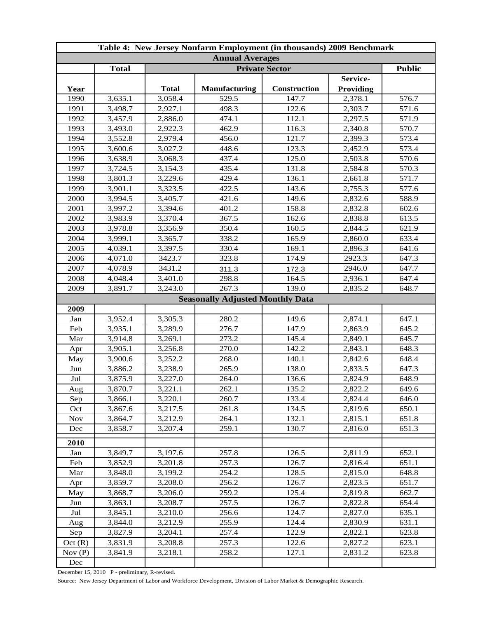| Table 4: New Jersey Nonfarm Employment (in thousands) 2009 Benchmark |              |              |                                         |                     |           |       |  |
|----------------------------------------------------------------------|--------------|--------------|-----------------------------------------|---------------------|-----------|-------|--|
| <b>Annual Averages</b>                                               |              |              |                                         |                     |           |       |  |
|                                                                      | <b>Total</b> |              | <b>Public</b>                           |                     |           |       |  |
|                                                                      |              |              |                                         |                     | Service-  |       |  |
| Year                                                                 |              | <b>Total</b> | <b>Manufacturing</b>                    | <b>Construction</b> | Providing |       |  |
| 1990                                                                 | 3,635.1      | 3,058.4      | 529.5                                   | 147.7               | 2,378.1   | 576.7 |  |
| 1991                                                                 | 3,498.7      | 2,927.1      | 498.3                                   | 122.6               | 2,303.7   | 571.6 |  |
| 1992                                                                 | 3,457.9      | 2,886.0      | 474.1                                   | 112.1               | 2,297.5   | 571.9 |  |
| 1993                                                                 | 3,493.0      | 2,922.3      | 462.9                                   | 116.3               | 2,340.8   | 570.7 |  |
| 1994                                                                 | 3,552.8      | 2,979.4      | 456.0                                   | 121.7               | 2,399.3   | 573.4 |  |
| 1995                                                                 | 3,600.6      | 3,027.2      | 448.6                                   | 123.3               | 2,452.9   | 573.4 |  |
| 1996                                                                 | 3,638.9      | 3,068.3      | 437.4                                   | 125.0               | 2,503.8   | 570.6 |  |
| 1997                                                                 | 3,724.5      | 3,154.3      | 435.4                                   | 131.8               | 2,584.8   | 570.3 |  |
| 1998                                                                 | 3,801.3      | 3,229.6      | 429.4                                   | 136.1               | 2,661.8   | 571.7 |  |
| 1999                                                                 | 3,901.1      | 3,323.5      | 422.5                                   | 143.6               | 2,755.3   | 577.6 |  |
| 2000                                                                 | 3,994.5      | 3,405.7      | 421.6                                   | 149.6               | 2,832.6   | 588.9 |  |
| 2001                                                                 | 3,997.2      | 3,394.6      | 401.2                                   | 158.8               | 2,832.8   | 602.6 |  |
| 2002                                                                 | 3,983.9      | 3,370.4      | 367.5                                   | 162.6               | 2,838.8   | 613.5 |  |
| 2003                                                                 | 3,978.8      | 3,356.9      | 350.4                                   | 160.5               | 2,844.5   | 621.9 |  |
| 2004                                                                 | 3,999.1      | 3,365.7      | 338.2                                   | 165.9               | 2,860.0   | 633.4 |  |
| 2005                                                                 | 4,039.1      | 3,397.5      | 330.4                                   | 169.1               | 2,896.3   | 641.6 |  |
| 2006                                                                 | 4,071.0      | 3423.7       | 323.8                                   | 174.9               | 2923.3    | 647.3 |  |
| 2007                                                                 | 4,078.9      | 3431.2       | 311.3                                   | 172.3               | 2946.0    | 647.7 |  |
| 2008                                                                 | 4,048.4      | 3,401.0      | 298.8                                   | 164.5               | 2,936.1   | 647.4 |  |
| 2009                                                                 | 3,891.7      | 3,243.0      | 267.3                                   | 139.0               | 2,835.2   | 648.7 |  |
|                                                                      |              |              | <b>Seasonally Adjusted Monthly Data</b> |                     |           |       |  |
| 2009                                                                 |              |              |                                         |                     |           |       |  |
| Jan                                                                  | 3,952.4      | 3,305.3      | 280.2                                   | 149.6               | 2,874.1   | 647.1 |  |
| Feb                                                                  | 3,935.1      | 3,289.9      | 276.7                                   | 147.9               | 2,863.9   | 645.2 |  |
| Mar                                                                  | 3,914.8      | 3,269.1      | 273.2                                   | 145.4               | 2,849.1   | 645.7 |  |
| Apr                                                                  | 3,905.1      | 3,256.8      | 270.0                                   | 142.2               | 2,843.1   | 648.3 |  |
| May                                                                  | 3,900.6      | 3,252.2      | 268.0                                   | 140.1               | 2,842.6   | 648.4 |  |
| Jun                                                                  | 3,886.2      | 3,238.9      | 265.9                                   | 138.0               | 2,833.5   | 647.3 |  |
| Jul                                                                  | 3,875.9      | 3,227.0      | 264.0                                   | 136.6               | 2,824.9   | 648.9 |  |
| Aug                                                                  | 3,870.7      | 3,221.1      | 262.1                                   | 135.2               | 2,822.2   | 649.6 |  |
| Sep                                                                  | 3,866.1      | 3,220.1      | 260.7                                   | 133.4               | 2,824.4   | 646.0 |  |
| Oct                                                                  | 3,867.6      | 3,217.5      | 261.8                                   | 134.5               | 2,819.6   | 650.1 |  |
| <b>Nov</b>                                                           | 3,864.7      | 3,212.9      | 264.1                                   | 132.1               | 2,815.1   | 651.8 |  |
| Dec                                                                  | 3,858.7      | 3,207.4      | 259.1                                   | 130.7               | 2,816.0   | 651.3 |  |
| 2010                                                                 |              |              |                                         |                     |           |       |  |
| Jan                                                                  | 3,849.7      | 3,197.6      | 257.8                                   | 126.5               | 2,811.9   | 652.1 |  |
| Feb                                                                  | 3,852.9      | 3,201.8      | 257.3                                   | 126.7               | 2,816.4   | 651.1 |  |
| Mar                                                                  | 3,848.0      | 3,199.2      | 254.2                                   | 128.5               | 2,815.0   | 648.8 |  |
| Apr                                                                  | 3,859.7      | 3,208.0      | 256.2                                   | 126.7               | 2,823.5   | 651.7 |  |
| May                                                                  | 3,868.7      | 3,206.0      | 259.2                                   | 125.4               | 2,819.8   | 662.7 |  |
| Jun                                                                  | 3,863.1      | 3,208.7      | 257.5                                   | 126.7               | 2,822.8   | 654.4 |  |
| Jul                                                                  | 3,845.1      | 3,210.0      | 256.6                                   | 124.7               | 2,827.0   | 635.1 |  |
| Aug                                                                  | 3,844.0      | 3,212.9      | 255.9                                   | 124.4               | 2,830.9   | 631.1 |  |
| Sep                                                                  | 3,827.9      | 3,204.1      | 257.4                                   | 122.9               | 2,822.1   | 623.8 |  |
| Oct(R)                                                               | 3,831.9      | 3,208.8      | 257.3                                   | 122.6               | 2,827.2   | 623.1 |  |
| Nov $(P)$                                                            | 3,841.9      | 3,218.1      | 258.2                                   | 127.1               | 2,831.2   | 623.8 |  |
| Dec                                                                  |              |              |                                         |                     |           |       |  |

December 15, 2010 P - preliminary, R-revised.

Source: New Jersey Department of Labor and Workforce Development, Division of Labor Market & Demographic Research.